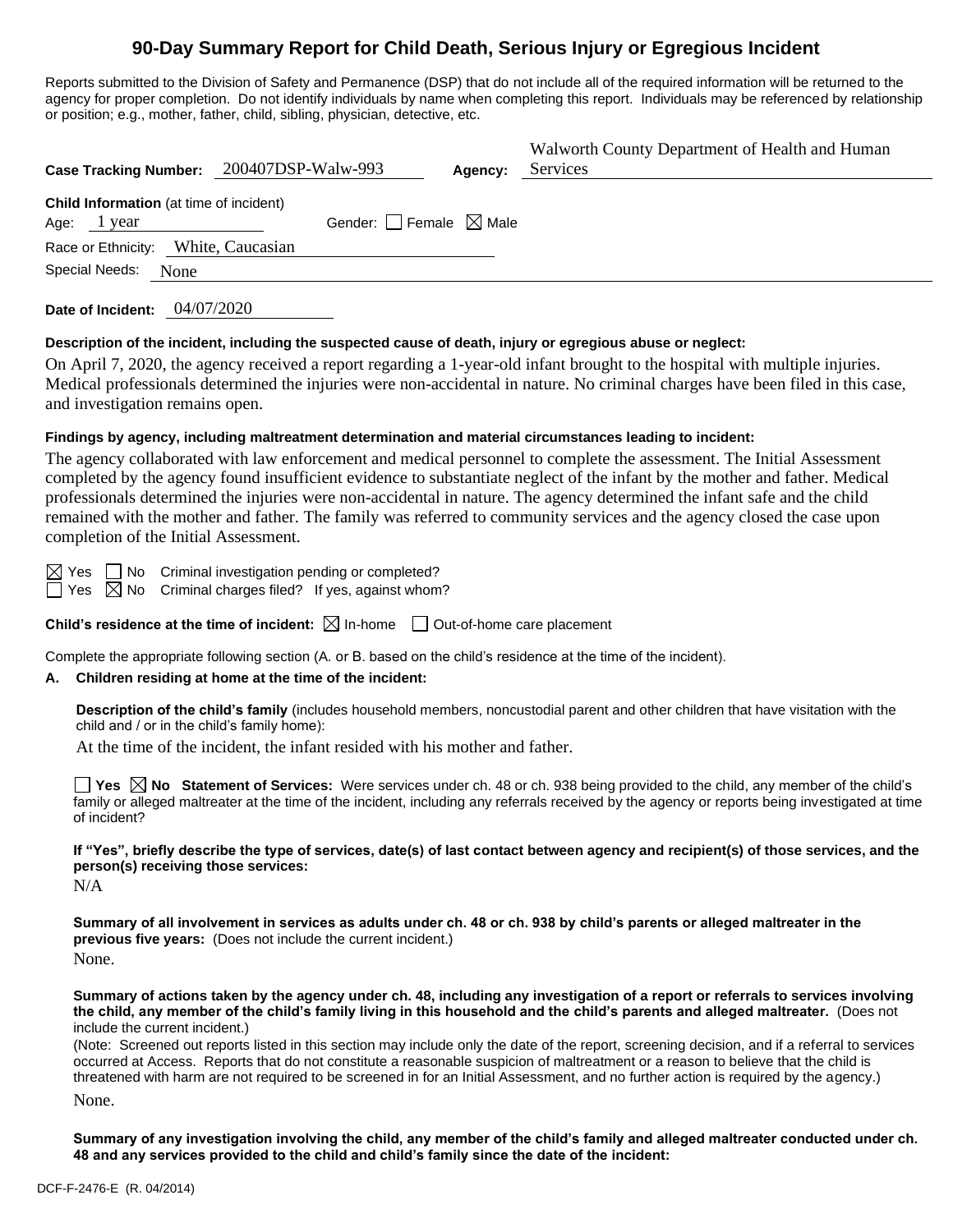# **90-Day Summary Report for Child Death, Serious Injury or Egregious Incident**

Reports submitted to the Division of Safety and Permanence (DSP) that do not include all of the required information will be returned to the agency for proper completion. Do not identify individuals by name when completing this report. Individuals may be referenced by relationship or position; e.g., mother, father, child, sibling, physician, detective, etc.

| Case Tracking Number: 200407DSP-Walw-993                      |                                        | Agency: | Walworth County Department of Health and Human<br>Services |
|---------------------------------------------------------------|----------------------------------------|---------|------------------------------------------------------------|
| <b>Child Information</b> (at time of incident)<br>Age: 1 year | Gender: $\Box$ Female $\boxtimes$ Male |         |                                                            |
| Race or Ethnicity: White, Caucasian<br>Special Needs:<br>None |                                        |         |                                                            |

**Date of Incident:** 04/07/2020

### **Description of the incident, including the suspected cause of death, injury or egregious abuse or neglect:**

On April 7, 2020, the agency received a report regarding a 1-year-old infant brought to the hospital with multiple injuries. Medical professionals determined the injuries were non-accidental in nature. No criminal charges have been filed in this case, and investigation remains open.

## **Findings by agency, including maltreatment determination and material circumstances leading to incident:**

The agency collaborated with law enforcement and medical personnel to complete the assessment. The Initial Assessment completed by the agency found insufficient evidence to substantiate neglect of the infant by the mother and father. Medical professionals determined the injuries were non-accidental in nature. The agency determined the infant safe and the child remained with the mother and father. The family was referred to community services and the agency closed the case upon completion of the Initial Assessment.

 $\boxtimes$  Yes  $\Box$  No Criminal investigation pending or completed?

 $\Box$  Yes  $\Box$  No Criminal charges filed? If yes, against whom?

**Child's residence at the time of incident:**  $\boxtimes$  In-home  $\Box$  Out-of-home care placement

Complete the appropriate following section (A. or B. based on the child's residence at the time of the incident).

## **A. Children residing at home at the time of the incident:**

**Description of the child's family** (includes household members, noncustodial parent and other children that have visitation with the child and / or in the child's family home):

At the time of the incident, the infant resided with his mother and father.

■ Yes **No** Statement of Services: Were services under ch. 48 or ch. 938 being provided to the child, any member of the child's family or alleged maltreater at the time of the incident, including any referrals received by the agency or reports being investigated at time of incident?

**If "Yes", briefly describe the type of services, date(s) of last contact between agency and recipient(s) of those services, and the person(s) receiving those services:**

N/A

**Summary of all involvement in services as adults under ch. 48 or ch. 938 by child's parents or alleged maltreater in the previous five years:** (Does not include the current incident.) None.

**Summary of actions taken by the agency under ch. 48, including any investigation of a report or referrals to services involving the child, any member of the child's family living in this household and the child's parents and alleged maltreater.** (Does not include the current incident.)

(Note: Screened out reports listed in this section may include only the date of the report, screening decision, and if a referral to services occurred at Access. Reports that do not constitute a reasonable suspicion of maltreatment or a reason to believe that the child is threatened with harm are not required to be screened in for an Initial Assessment, and no further action is required by the agency.)

None.

**Summary of any investigation involving the child, any member of the child's family and alleged maltreater conducted under ch. 48 and any services provided to the child and child's family since the date of the incident:**